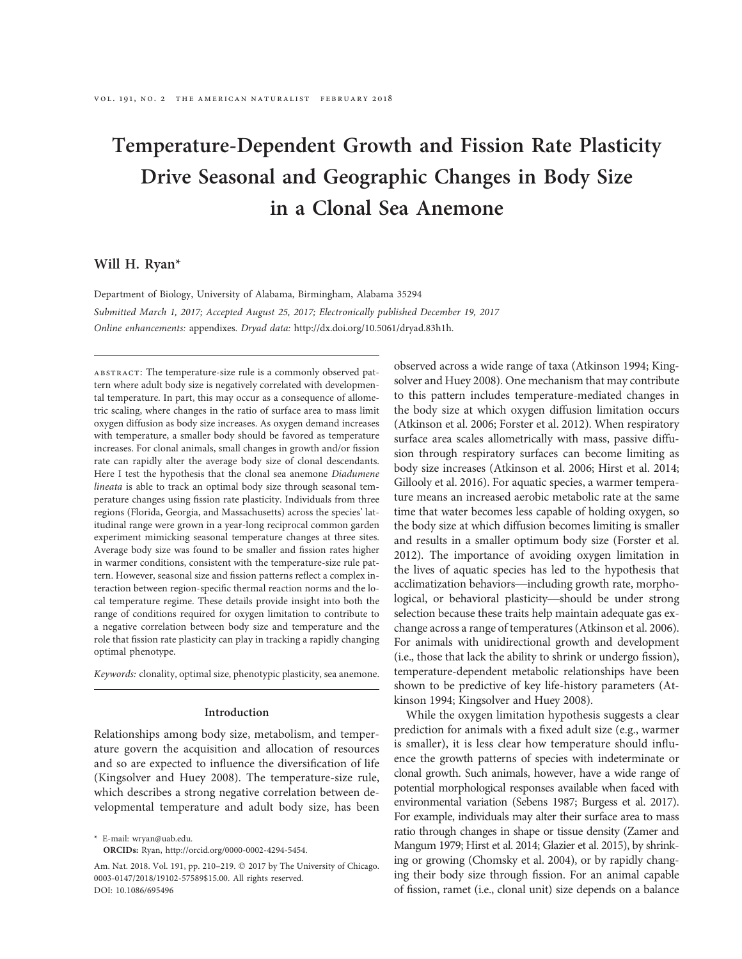# Temperature-Dependent Growth and Fission Rate Plasticity Drive Seasonal and Geographic Changes in Body Size in a Clonal Sea Anemone

## Will H. Ryan\*

Department of Biology, University of Alabama, Birmingham, Alabama 35294 Submitted March 1, 2017; Accepted August 25, 2017; Electronically published December 19, 2017 Online enhancements: appendixes. Dryad data: http://dx.doi.org/10.5061/dryad.83h1h.

abstract: The temperature-size rule is a commonly observed pattern where adult body size is negatively correlated with developmental temperature. In part, this may occur as a consequence of allometric scaling, where changes in the ratio of surface area to mass limit oxygen diffusion as body size increases. As oxygen demand increases with temperature, a smaller body should be favored as temperature increases. For clonal animals, small changes in growth and/or fission rate can rapidly alter the average body size of clonal descendants. Here I test the hypothesis that the clonal sea anemone Diadumene lineata is able to track an optimal body size through seasonal temperature changes using fission rate plasticity. Individuals from three regions (Florida, Georgia, and Massachusetts) across the species' latitudinal range were grown in a year-long reciprocal common garden experiment mimicking seasonal temperature changes at three sites. Average body size was found to be smaller and fission rates higher in warmer conditions, consistent with the temperature-size rule pattern. However, seasonal size and fission patterns reflect a complex interaction between region-specific thermal reaction norms and the local temperature regime. These details provide insight into both the range of conditions required for oxygen limitation to contribute to a negative correlation between body size and temperature and the role that fission rate plasticity can play in tracking a rapidly changing optimal phenotype.

Keywords: clonality, optimal size, phenotypic plasticity, sea anemone.

### Introduction

Relationships among body size, metabolism, and temperature govern the acquisition and allocation of resources and so are expected to influence the diversification of life (Kingsolver and Huey 2008). The temperature-size rule, which describes a strong negative correlation between developmental temperature and adult body size, has been

\* E-mail: wryan@uab.edu.

ORCIDs: Ryan, http://orcid.org/0000-0002-4294-5454.

Am. Nat. 2018. Vol. 191, pp. 210-219. @ 2017 by The University of Chicago. 0003-0147/2018/19102-57589\$15.00. All rights reserved. DOI: 10.1086/695496

observed across a wide range of taxa (Atkinson 1994; Kingsolver and Huey 2008). One mechanism that may contribute to this pattern includes temperature-mediated changes in the body size at which oxygen diffusion limitation occurs (Atkinson et al. 2006; Forster et al. 2012). When respiratory surface area scales allometrically with mass, passive diffusion through respiratory surfaces can become limiting as body size increases (Atkinson et al. 2006; Hirst et al. 2014; Gillooly et al. 2016). For aquatic species, a warmer temperature means an increased aerobic metabolic rate at the same time that water becomes less capable of holding oxygen, so the body size at which diffusion becomes limiting is smaller and results in a smaller optimum body size (Forster et al. 2012). The importance of avoiding oxygen limitation in the lives of aquatic species has led to the hypothesis that acclimatization behaviors—including growth rate, morphological, or behavioral plasticity—should be under strong selection because these traits help maintain adequate gas exchange across a range of temperatures (Atkinson et al. 2006). For animals with unidirectional growth and development (i.e., those that lack the ability to shrink or undergo fission), temperature-dependent metabolic relationships have been shown to be predictive of key life-history parameters (Atkinson 1994; Kingsolver and Huey 2008).

While the oxygen limitation hypothesis suggests a clear prediction for animals with a fixed adult size (e.g., warmer is smaller), it is less clear how temperature should influence the growth patterns of species with indeterminate or clonal growth. Such animals, however, have a wide range of potential morphological responses available when faced with environmental variation (Sebens 1987; Burgess et al. 2017). For example, individuals may alter their surface area to mass ratio through changes in shape or tissue density (Zamer and Mangum 1979; Hirst et al. 2014; Glazier et al. 2015), by shrinking or growing (Chomsky et al. 2004), or by rapidly changing their body size through fission. For an animal capable of fission, ramet (i.e., clonal unit) size depends on a balance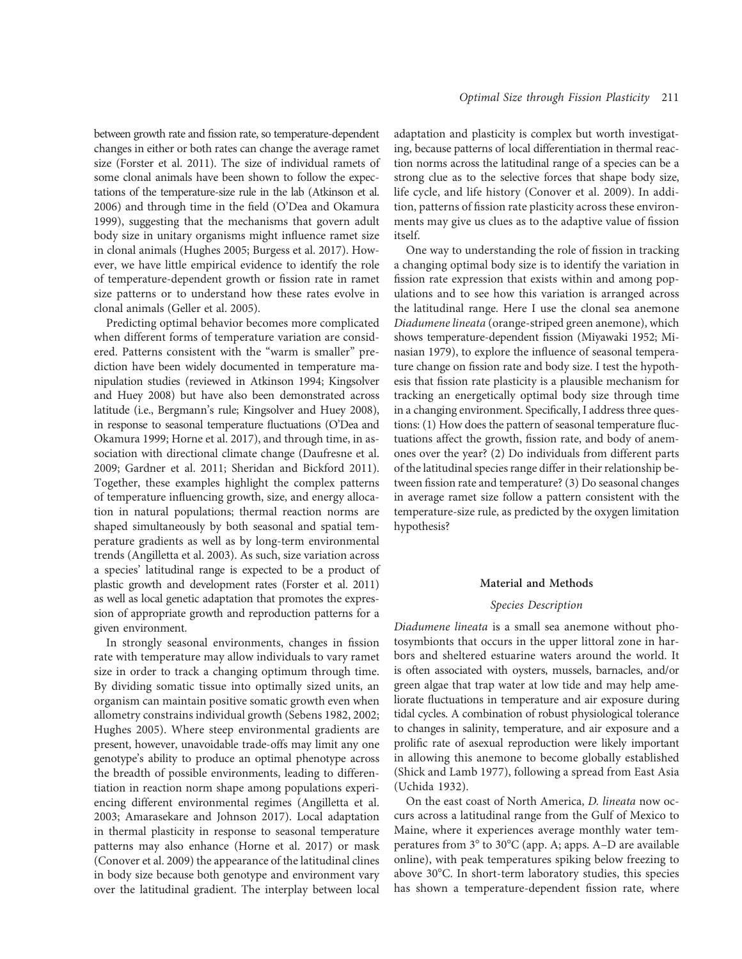between growth rate and fission rate, so temperature-dependent changes in either or both rates can change the average ramet size (Forster et al. 2011). The size of individual ramets of some clonal animals have been shown to follow the expectations of the temperature-size rule in the lab (Atkinson et al. 2006) and through time in the field (O'Dea and Okamura 1999), suggesting that the mechanisms that govern adult body size in unitary organisms might influence ramet size in clonal animals (Hughes 2005; Burgess et al. 2017). However, we have little empirical evidence to identify the role of temperature-dependent growth or fission rate in ramet size patterns or to understand how these rates evolve in clonal animals (Geller et al. 2005).

Predicting optimal behavior becomes more complicated when different forms of temperature variation are considered. Patterns consistent with the "warm is smaller" prediction have been widely documented in temperature manipulation studies (reviewed in Atkinson 1994; Kingsolver and Huey 2008) but have also been demonstrated across latitude (i.e., Bergmann's rule; Kingsolver and Huey 2008), in response to seasonal temperature fluctuations (O'Dea and Okamura 1999; Horne et al. 2017), and through time, in association with directional climate change (Daufresne et al. 2009; Gardner et al. 2011; Sheridan and Bickford 2011). Together, these examples highlight the complex patterns of temperature influencing growth, size, and energy allocation in natural populations; thermal reaction norms are shaped simultaneously by both seasonal and spatial temperature gradients as well as by long-term environmental trends (Angilletta et al. 2003). As such, size variation across a species' latitudinal range is expected to be a product of plastic growth and development rates (Forster et al. 2011) as well as local genetic adaptation that promotes the expression of appropriate growth and reproduction patterns for a given environment.

In strongly seasonal environments, changes in fission rate with temperature may allow individuals to vary ramet size in order to track a changing optimum through time. By dividing somatic tissue into optimally sized units, an organism can maintain positive somatic growth even when allometry constrains individual growth (Sebens 1982, 2002; Hughes 2005). Where steep environmental gradients are present, however, unavoidable trade-offs may limit any one genotype's ability to produce an optimal phenotype across the breadth of possible environments, leading to differentiation in reaction norm shape among populations experiencing different environmental regimes (Angilletta et al. 2003; Amarasekare and Johnson 2017). Local adaptation in thermal plasticity in response to seasonal temperature patterns may also enhance (Horne et al. 2017) or mask (Conover et al. 2009) the appearance of the latitudinal clines in body size because both genotype and environment vary over the latitudinal gradient. The interplay between local

adaptation and plasticity is complex but worth investigating, because patterns of local differentiation in thermal reaction norms across the latitudinal range of a species can be a strong clue as to the selective forces that shape body size, life cycle, and life history (Conover et al. 2009). In addition, patterns of fission rate plasticity across these environments may give us clues as to the adaptive value of fission itself.

One way to understanding the role of fission in tracking a changing optimal body size is to identify the variation in fission rate expression that exists within and among populations and to see how this variation is arranged across the latitudinal range. Here I use the clonal sea anemone Diadumene lineata (orange-striped green anemone), which shows temperature-dependent fission (Miyawaki 1952; Minasian 1979), to explore the influence of seasonal temperature change on fission rate and body size. I test the hypothesis that fission rate plasticity is a plausible mechanism for tracking an energetically optimal body size through time in a changing environment. Specifically, I address three questions: (1) How does the pattern of seasonal temperature fluctuations affect the growth, fission rate, and body of anemones over the year? (2) Do individuals from different parts of the latitudinal species range differ in their relationship between fission rate and temperature? (3) Do seasonal changes in average ramet size follow a pattern consistent with the temperature-size rule, as predicted by the oxygen limitation hypothesis?

#### Material and Methods

## Species Description

Diadumene lineata is a small sea anemone without photosymbionts that occurs in the upper littoral zone in harbors and sheltered estuarine waters around the world. It is often associated with oysters, mussels, barnacles, and/or green algae that trap water at low tide and may help ameliorate fluctuations in temperature and air exposure during tidal cycles. A combination of robust physiological tolerance to changes in salinity, temperature, and air exposure and a prolific rate of asexual reproduction were likely important in allowing this anemone to become globally established (Shick and Lamb 1977), following a spread from East Asia (Uchida 1932).

On the east coast of North America, D. lineata now occurs across a latitudinal range from the Gulf of Mexico to Maine, where it experiences average monthly water temperatures from 3° to 30°C (app. A; apps. A-D are available online), with peak temperatures spiking below freezing to above 307C. In short-term laboratory studies, this species has shown a temperature-dependent fission rate, where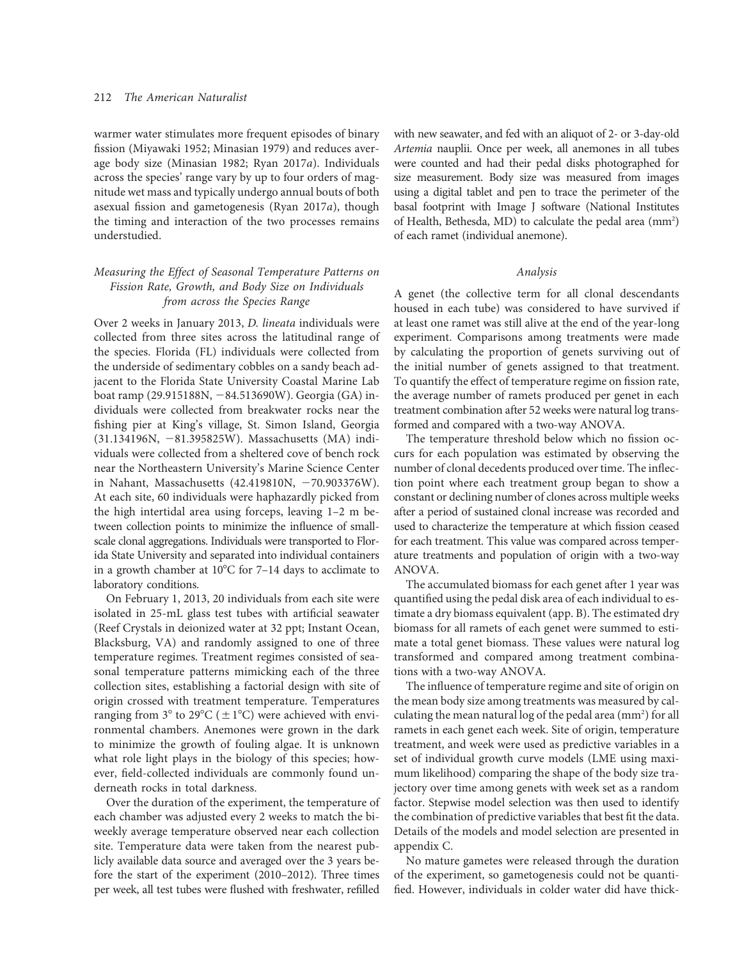warmer water stimulates more frequent episodes of binary fission (Miyawaki 1952; Minasian 1979) and reduces average body size (Minasian 1982; Ryan 2017a). Individuals across the species' range vary by up to four orders of magnitude wet mass and typically undergo annual bouts of both asexual fission and gametogenesis (Ryan 2017a), though the timing and interaction of the two processes remains understudied.

# Measuring the Effect of Seasonal Temperature Patterns on Fission Rate, Growth, and Body Size on Individuals from across the Species Range

Over 2 weeks in January 2013, D. lineata individuals were collected from three sites across the latitudinal range of the species. Florida (FL) individuals were collected from the underside of sedimentary cobbles on a sandy beach adjacent to the Florida State University Coastal Marine Lab boat ramp (29.915188N, -84.513690W). Georgia (GA) individuals were collected from breakwater rocks near the fishing pier at King's village, St. Simon Island, Georgia (31.134196N, -81.395825W). Massachusetts (MA) individuals were collected from a sheltered cove of bench rock near the Northeastern University's Marine Science Center in Nahant, Massachusetts (42.419810N,  $-70.903376W$ ). At each site, 60 individuals were haphazardly picked from the high intertidal area using forceps, leaving 1–2 m between collection points to minimize the influence of smallscale clonal aggregations. Individuals were transported to Florida State University and separated into individual containers in a growth chamber at  $10^{\circ}$ C for 7-14 days to acclimate to laboratory conditions.

On February 1, 2013, 20 individuals from each site were isolated in 25-mL glass test tubes with artificial seawater (Reef Crystals in deionized water at 32 ppt; Instant Ocean, Blacksburg, VA) and randomly assigned to one of three temperature regimes. Treatment regimes consisted of seasonal temperature patterns mimicking each of the three collection sites, establishing a factorial design with site of origin crossed with treatment temperature. Temperatures ranging from  $3^{\circ}$  to  $29^{\circ}C (\pm 1^{\circ}C)$  were achieved with environmental chambers. Anemones were grown in the dark to minimize the growth of fouling algae. It is unknown what role light plays in the biology of this species; however, field-collected individuals are commonly found underneath rocks in total darkness.

Over the duration of the experiment, the temperature of each chamber was adjusted every 2 weeks to match the biweekly average temperature observed near each collection site. Temperature data were taken from the nearest publicly available data source and averaged over the 3 years before the start of the experiment (2010–2012). Three times per week, all test tubes were flushed with freshwater, refilled

with new seawater, and fed with an aliquot of 2- or 3-day-old Artemia nauplii. Once per week, all anemones in all tubes were counted and had their pedal disks photographed for size measurement. Body size was measured from images using a digital tablet and pen to trace the perimeter of the basal footprint with Image J software (National Institutes of Health, Bethesda, MD) to calculate the pedal area (mm<sup>2</sup>) of each ramet (individual anemone).

## Analysis

A genet (the collective term for all clonal descendants housed in each tube) was considered to have survived if at least one ramet was still alive at the end of the year-long experiment. Comparisons among treatments were made by calculating the proportion of genets surviving out of the initial number of genets assigned to that treatment. To quantify the effect of temperature regime on fission rate, the average number of ramets produced per genet in each treatment combination after 52 weeks were natural log transformed and compared with a two-way ANOVA.

The temperature threshold below which no fission occurs for each population was estimated by observing the number of clonal decedents produced over time. The inflection point where each treatment group began to show a constant or declining number of clones across multiple weeks after a period of sustained clonal increase was recorded and used to characterize the temperature at which fission ceased for each treatment. This value was compared across temperature treatments and population of origin with a two-way ANOVA.

The accumulated biomass for each genet after 1 year was quantified using the pedal disk area of each individual to estimate a dry biomass equivalent (app. B). The estimated dry biomass for all ramets of each genet were summed to estimate a total genet biomass. These values were natural log transformed and compared among treatment combinations with a two-way ANOVA.

The influence of temperature regime and site of origin on the mean body size among treatments was measured by calculating the mean natural log of the pedal area (mm<sup>2</sup>) for all ramets in each genet each week. Site of origin, temperature treatment, and week were used as predictive variables in a set of individual growth curve models (LME using maximum likelihood) comparing the shape of the body size trajectory over time among genets with week set as a random factor. Stepwise model selection was then used to identify the combination of predictive variables that best fit the data. Details of the models and model selection are presented in appendix C.

No mature gametes were released through the duration of the experiment, so gametogenesis could not be quantified. However, individuals in colder water did have thick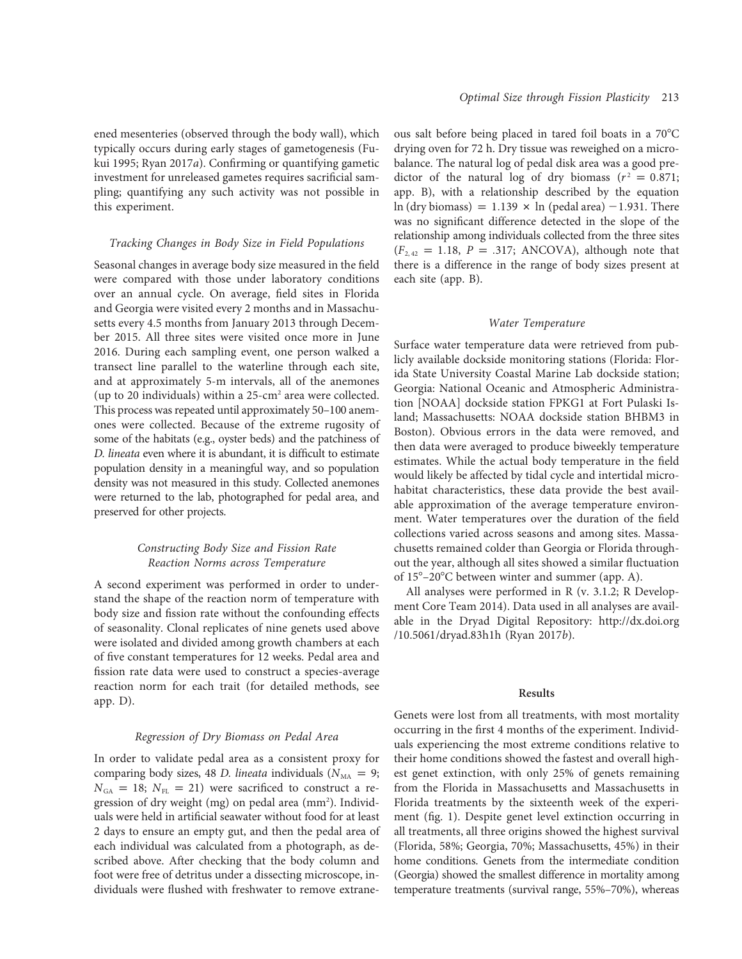ened mesenteries (observed through the body wall), which typically occurs during early stages of gametogenesis (Fukui 1995; Ryan 2017a). Confirming or quantifying gametic investment for unreleased gametes requires sacrificial sampling; quantifying any such activity was not possible in this experiment.

## Tracking Changes in Body Size in Field Populations

Seasonal changes in average body size measured in the field were compared with those under laboratory conditions over an annual cycle. On average, field sites in Florida and Georgia were visited every 2 months and in Massachusetts every 4.5 months from January 2013 through December 2015. All three sites were visited once more in June 2016. During each sampling event, one person walked a transect line parallel to the waterline through each site, and at approximately 5-m intervals, all of the anemones (up to 20 individuals) within a 25-cm2 area were collected. This process was repeated until approximately 50–100 anemones were collected. Because of the extreme rugosity of some of the habitats (e.g., oyster beds) and the patchiness of D. lineata even where it is abundant, it is difficult to estimate population density in a meaningful way, and so population density was not measured in this study. Collected anemones were returned to the lab, photographed for pedal area, and preserved for other projects.

## Constructing Body Size and Fission Rate Reaction Norms across Temperature

A second experiment was performed in order to understand the shape of the reaction norm of temperature with body size and fission rate without the confounding effects of seasonality. Clonal replicates of nine genets used above were isolated and divided among growth chambers at each of five constant temperatures for 12 weeks. Pedal area and fission rate data were used to construct a species-average reaction norm for each trait (for detailed methods, see app. D).

## Regression of Dry Biomass on Pedal Area

In order to validate pedal area as a consistent proxy for comparing body sizes, 48 D. lineata individuals ( $N_{\text{MA}} = 9$ ;  $N_{GA} = 18$ ;  $N_{FL} = 21$ ) were sacrificed to construct a regression of dry weight (mg) on pedal area (mm<sup>2</sup>). Individuals were held in artificial seawater without food for at least 2 days to ensure an empty gut, and then the pedal area of each individual was calculated from a photograph, as described above. After checking that the body column and foot were free of detritus under a dissecting microscope, individuals were flushed with freshwater to remove extraneous salt before being placed in tared foil boats in a 70°C drying oven for 72 h. Dry tissue was reweighed on a microbalance. The natural log of pedal disk area was a good predictor of the natural log of dry biomass ( $r^2 = 0.871$ ; app. B), with a relationship described by the equation ln (dry biomass) = 1.139  $\times$  ln (pedal area) -1.931. There was no significant difference detected in the slope of the relationship among individuals collected from the three sites  $(F_{2,42} = 1.18, P = .317; ANCOVA)$ , although note that there is a difference in the range of body sizes present at each site (app. B).

# Water Temperature

Surface water temperature data were retrieved from publicly available dockside monitoring stations (Florida: Florida State University Coastal Marine Lab dockside station; Georgia: National Oceanic and Atmospheric Administration [NOAA] dockside station FPKG1 at Fort Pulaski Island; Massachusetts: NOAA dockside station BHBM3 in Boston). Obvious errors in the data were removed, and then data were averaged to produce biweekly temperature estimates. While the actual body temperature in the field would likely be affected by tidal cycle and intertidal microhabitat characteristics, these data provide the best available approximation of the average temperature environment. Water temperatures over the duration of the field collections varied across seasons and among sites. Massachusetts remained colder than Georgia or Florida throughout the year, although all sites showed a similar fluctuation of 15°-20°C between winter and summer (app. A).

All analyses were performed in R (v. 3.1.2; R Development Core Team 2014). Data used in all analyses are available in the Dryad Digital Repository: http://dx.doi.org /10.5061/dryad.83h1h (Ryan 2017b).

## Results

Genets were lost from all treatments, with most mortality occurring in the first 4 months of the experiment. Individuals experiencing the most extreme conditions relative to their home conditions showed the fastest and overall highest genet extinction, with only 25% of genets remaining from the Florida in Massachusetts and Massachusetts in Florida treatments by the sixteenth week of the experiment (fig. 1). Despite genet level extinction occurring in all treatments, all three origins showed the highest survival (Florida, 58%; Georgia, 70%; Massachusetts, 45%) in their home conditions. Genets from the intermediate condition (Georgia) showed the smallest difference in mortality among temperature treatments (survival range, 55%–70%), whereas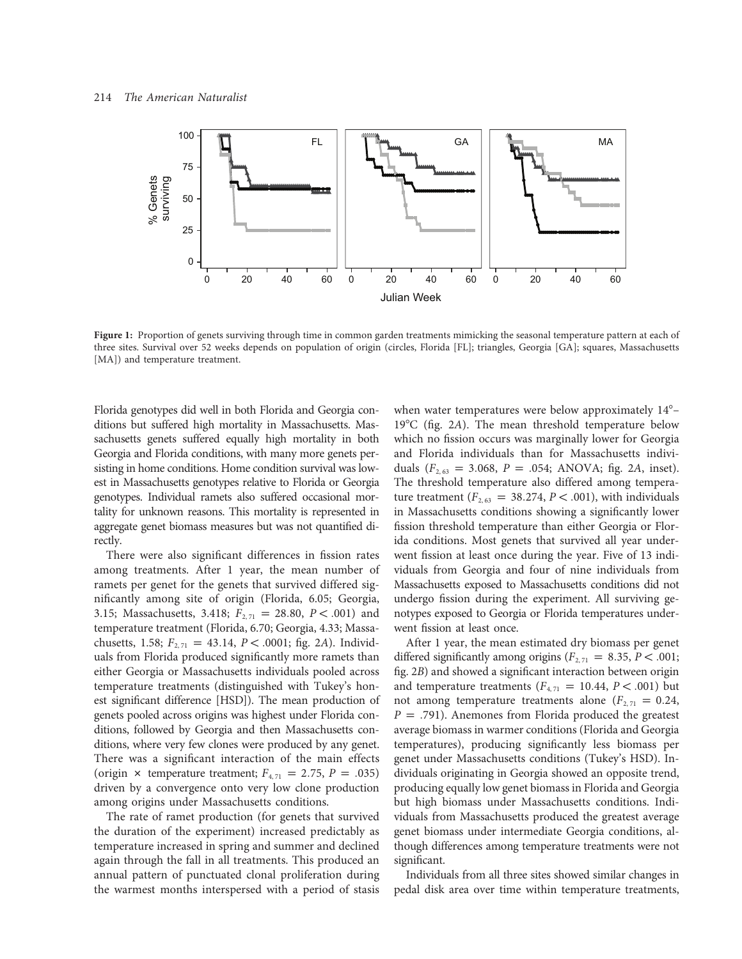

Figure 1: Proportion of genets surviving through time in common garden treatments mimicking the seasonal temperature pattern at each of three sites. Survival over 52 weeks depends on population of origin (circles, Florida [FL]; triangles, Georgia [GA]; squares, Massachusetts [MA]) and temperature treatment.

Florida genotypes did well in both Florida and Georgia conditions but suffered high mortality in Massachusetts. Massachusetts genets suffered equally high mortality in both Georgia and Florida conditions, with many more genets persisting in home conditions. Home condition survival was lowest in Massachusetts genotypes relative to Florida or Georgia genotypes. Individual ramets also suffered occasional mortality for unknown reasons. This mortality is represented in aggregate genet biomass measures but was not quantified directly.

There were also significant differences in fission rates among treatments. After 1 year, the mean number of ramets per genet for the genets that survived differed significantly among site of origin (Florida, 6.05; Georgia, 3.15; Massachusetts, 3.418;  $F_{2,71} = 28.80, P < .001$ ) and temperature treatment (Florida, 6.70; Georgia, 4.33; Massachusetts, 1.58;  $F_{2,71} = 43.14$ ,  $P < .0001$ ; fig. 2A). Individuals from Florida produced significantly more ramets than either Georgia or Massachusetts individuals pooled across temperature treatments (distinguished with Tukey's honest significant difference [HSD]). The mean production of genets pooled across origins was highest under Florida conditions, followed by Georgia and then Massachusetts conditions, where very few clones were produced by any genet. There was a significant interaction of the main effects (origin  $\times$  temperature treatment;  $F_{4, 71} = 2.75$ ,  $P = .035$ ) driven by a convergence onto very low clone production among origins under Massachusetts conditions.

The rate of ramet production (for genets that survived the duration of the experiment) increased predictably as temperature increased in spring and summer and declined again through the fall in all treatments. This produced an annual pattern of punctuated clonal proliferation during the warmest months interspersed with a period of stasis

when water temperatures were below approximately  $14^{\circ}$ –  $19^{\circ}$ C (fig. 2A). The mean threshold temperature below which no fission occurs was marginally lower for Georgia and Florida individuals than for Massachusetts individuals  $(F_{2,63} = 3.068, P = .054; ANOVA; fig. 2A, inset).$ The threshold temperature also differed among temperature treatment ( $F_{2,63} = 38.274$ ,  $P < .001$ ), with individuals in Massachusetts conditions showing a significantly lower fission threshold temperature than either Georgia or Florida conditions. Most genets that survived all year underwent fission at least once during the year. Five of 13 individuals from Georgia and four of nine individuals from Massachusetts exposed to Massachusetts conditions did not undergo fission during the experiment. All surviving genotypes exposed to Georgia or Florida temperatures underwent fission at least once.

After 1 year, the mean estimated dry biomass per genet differed significantly among origins ( $F_{2, 71} = 8.35, P < .001;$ fig. 2B) and showed a significant interaction between origin and temperature treatments  $(F_{4,71} = 10.44, P < .001)$  but not among temperature treatments alone ( $F_{2, 71} = 0.24$ ,  $P = .791$ ). Anemones from Florida produced the greatest average biomass in warmer conditions (Florida and Georgia temperatures), producing significantly less biomass per genet under Massachusetts conditions (Tukey's HSD). Individuals originating in Georgia showed an opposite trend, producing equally low genet biomass in Florida and Georgia but high biomass under Massachusetts conditions. Individuals from Massachusetts produced the greatest average genet biomass under intermediate Georgia conditions, although differences among temperature treatments were not significant.

Individuals from all three sites showed similar changes in pedal disk area over time within temperature treatments,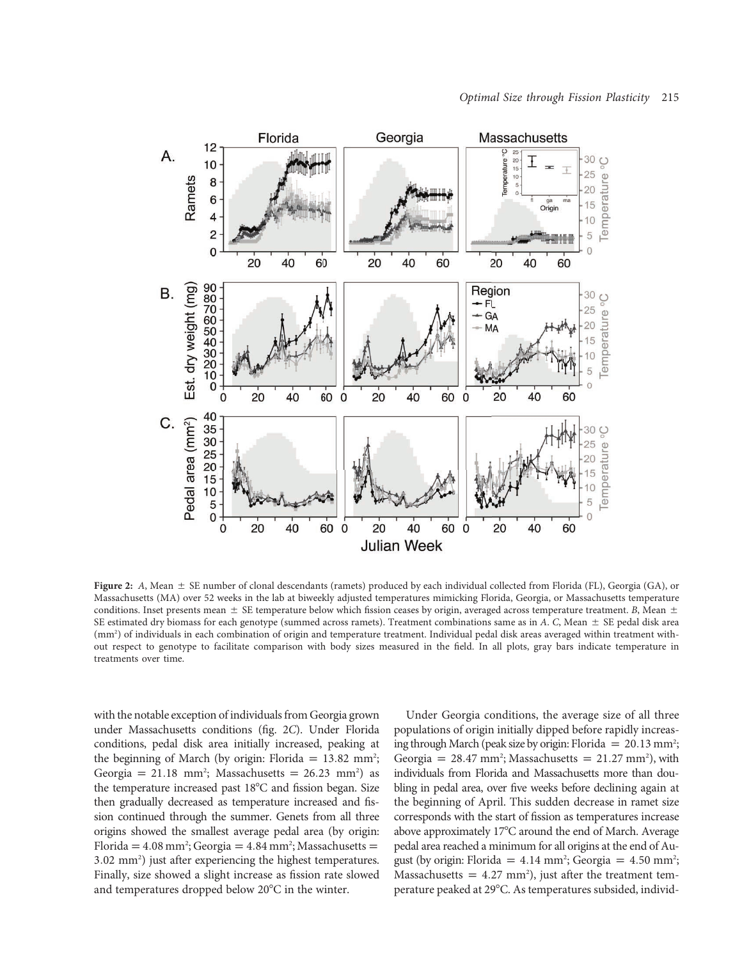

Figure 2: A, Mean  $\pm$  SE number of clonal descendants (ramets) produced by each individual collected from Florida (FL), Georgia (GA), or Massachusetts (MA) over 52 weeks in the lab at biweekly adjusted temperatures mimicking Florida, Georgia, or Massachusetts temperature conditions. Inset presents mean  $\pm$  SE temperature below which fission ceases by origin, averaged across temperature treatment. B, Mean  $\pm$ SE estimated dry biomass for each genotype (summed across ramets). Treatment combinations same as in A. C, Mean  $\pm$  SE pedal disk area (mm2 ) of individuals in each combination of origin and temperature treatment. Individual pedal disk areas averaged within treatment without respect to genotype to facilitate comparison with body sizes measured in the field. In all plots, gray bars indicate temperature in treatments over time.

with the notable exception of individuals from Georgia grown under Massachusetts conditions (fig. 2C). Under Florida conditions, pedal disk area initially increased, peaking at the beginning of March (by origin: Florida =  $13.82$  mm<sup>2</sup>; Georgia =  $21.18$  mm<sup>2</sup>; Massachusetts =  $26.23$  mm<sup>2</sup>) as the temperature increased past  $18^{\circ}$ C and fission began. Size then gradually decreased as temperature increased and fission continued through the summer. Genets from all three origins showed the smallest average pedal area (by origin: Florida =  $4.08$  mm<sup>2</sup>; Georgia =  $4.84$  mm<sup>2</sup>; Massachusetts = 3:02 mm2 ) just after experiencing the highest temperatures. Finally, size showed a slight increase as fission rate slowed and temperatures dropped below 20°C in the winter.

Under Georgia conditions, the average size of all three populations of origin initially dipped before rapidly increasing through March (peak size by origin: Florida  $= 20.13$  mm<sup>2</sup>; Georgia =  $28.47$  mm<sup>2</sup>; Massachusetts =  $21.27$  mm<sup>2</sup>), with individuals from Florida and Massachusetts more than doubling in pedal area, over five weeks before declining again at the beginning of April. This sudden decrease in ramet size corresponds with the start of fission as temperatures increase above approximately 17°C around the end of March. Average pedal area reached a minimum for all origins at the end of August (by origin: Florida =  $4.14 \text{ mm}^2$ ; Georgia =  $4.50 \text{ mm}^2$ ; Massachusetts  $= 4.27$  mm<sup>2</sup>), just after the treatment temperature peaked at 29°C. As temperatures subsided, individ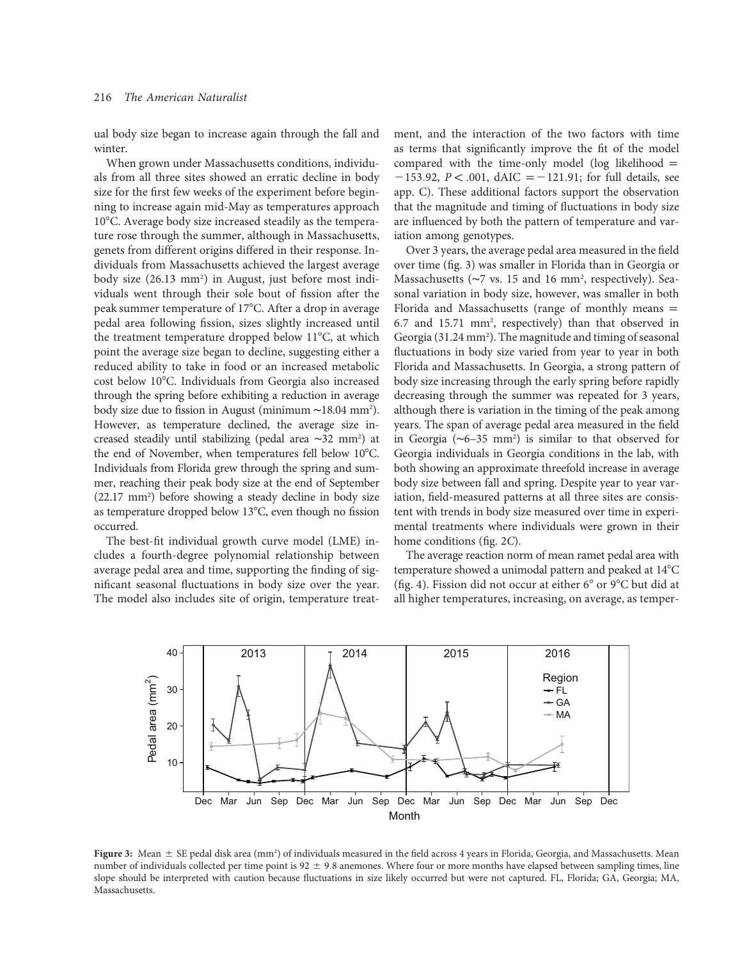ual body size began to increase again through the fall and winter.

When grown under Massachusetts conditions, individuals from all three sites showed an erratic decline in body size for the first few weeks of the experiment before beginning to increase again mid-May as temperatures approach 10°C. Average body size increased steadily as the temperature rose through the summer, although in Massachusetts, genets from different origins differed in their response. Individuals from Massachusetts achieved the largest average body size (26.13 mm<sup>2</sup>) in August, just before most individuals went through their sole bout of fission after the peak summer temperature of 17°C. After a drop in average pedal area following fission, sizes slightly increased until the treatment temperature dropped below  $11^{\circ}$ C, at which point the average size began to decline, suggesting either a reduced ability to take in food or an increased metabolic cost below 107C. Individuals from Georgia also increased through the spring before exhibiting a reduction in average body size due to fission in August (minimum <sup>∼</sup>18.04 mm2 ). However, as temperature declined, the average size increased steadily until stabilizing (pedal area ∼32 mm2 ) at the end of November, when temperatures fell below 10°C. Individuals from Florida grew through the spring and summer, reaching their peak body size at the end of September (22.17 mm<sup>2</sup>) before showing a steady decline in body size as temperature dropped below 13°C, even though no fission occurred.

The best-fit individual growth curve model (LME) includes a fourth-degree polynomial relationship between average pedal area and time, supporting the finding of significant seasonal fluctuations in body size over the year. The model also includes site of origin, temperature treatment, and the interaction of the two factors with time as terms that significantly improve the fit of the model compared with the time-only model (log likelihood  $=$  $-153.92$ ,  $P < .001$ , dAIC =  $-121.91$ ; for full details, see app. C). These additional factors support the observation that the magnitude and timing of fluctuations in body size are influenced by both the pattern of temperature and variation among genotypes.

Over 3 years, the average pedal area measured in the field over time (fig. 3) was smaller in Florida than in Georgia or Massachusetts (∼7 vs. 15 and 16 mm<sup>2</sup>, respectively). Seasonal variation in body size, however, was smaller in both Florida and Massachusetts (range of monthly means  $=$ 6.7 and 15.71 mm<sup>2</sup>, respectively) than that observed in Georgia (31.24 mm<sup>2</sup>). The magnitude and timing of seasonal fluctuations in body size varied from year to year in both Florida and Massachusetts. In Georgia, a strong pattern of body size increasing through the early spring before rapidly decreasing through the summer was repeated for 3 years, although there is variation in the timing of the peak among years. The span of average pedal area measured in the field in Georgia (∼6–35 mm2 ) is similar to that observed for Georgia individuals in Georgia conditions in the lab, with both showing an approximate threefold increase in average body size between fall and spring. Despite year to year variation, field-measured patterns at all three sites are consistent with trends in body size measured over time in experimental treatments where individuals were grown in their home conditions (fig. 2C).

The average reaction norm of mean ramet pedal area with temperature showed a unimodal pattern and peaked at 14°C (fig. 4). Fission did not occur at either  $6^{\circ}$  or  $9^{\circ}$ C but did at all higher temperatures, increasing, on average, as temper-



**Figure 3:** Mean  $\pm$  SE pedal disk area (mm<sup>2</sup>) of individuals measured in the field across 4 years in Florida, Georgia, and Massachusetts. Mean number of individuals collected per time point is 92  $\pm$  9.8 anemones. Whe number of individuals collected per time point is  $92 \pm 9.8$  anemones. Where four or more months have elapsed between sampling times, line slope should be interpreted with caution because fluctuations in size likely occurred but were not captured. FL, Florida; GA, Georgia; MA, Massachusetts.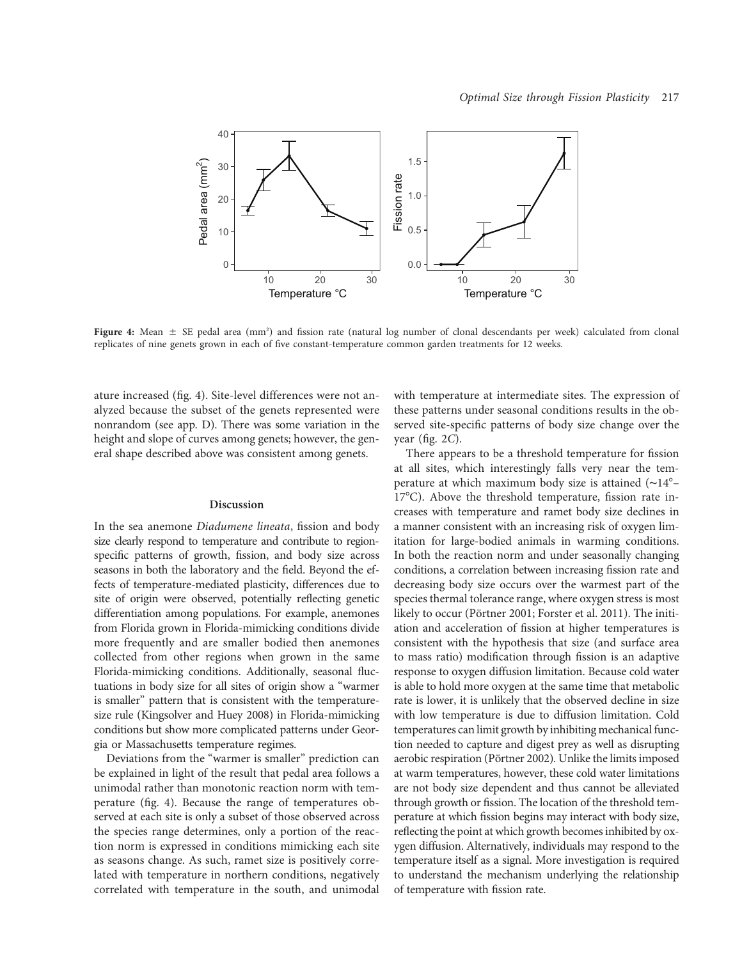

Figure 4: Mean  $\pm$  SE pedal area (mm<sup>2</sup>) and fission rate (natural log number of clonal descendants per week) calculated from clonal replicates of nine genets grown in each of five constant-temperature common garden trea replicates of nine genets grown in each of five constant-temperature common garden treatments for 12 weeks.

ature increased (fig. 4). Site-level differences were not analyzed because the subset of the genets represented were nonrandom (see app. D). There was some variation in the height and slope of curves among genets; however, the general shape described above was consistent among genets.

### Discussion

In the sea anemone Diadumene lineata, fission and body size clearly respond to temperature and contribute to regionspecific patterns of growth, fission, and body size across seasons in both the laboratory and the field. Beyond the effects of temperature-mediated plasticity, differences due to site of origin were observed, potentially reflecting genetic differentiation among populations. For example, anemones from Florida grown in Florida-mimicking conditions divide more frequently and are smaller bodied then anemones collected from other regions when grown in the same Florida-mimicking conditions. Additionally, seasonal fluctuations in body size for all sites of origin show a "warmer is smaller" pattern that is consistent with the temperaturesize rule (Kingsolver and Huey 2008) in Florida-mimicking conditions but show more complicated patterns under Georgia or Massachusetts temperature regimes.

Deviations from the "warmer is smaller" prediction can be explained in light of the result that pedal area follows a unimodal rather than monotonic reaction norm with temperature (fig. 4). Because the range of temperatures observed at each site is only a subset of those observed across the species range determines, only a portion of the reaction norm is expressed in conditions mimicking each site as seasons change. As such, ramet size is positively correlated with temperature in northern conditions, negatively correlated with temperature in the south, and unimodal

with temperature at intermediate sites. The expression of these patterns under seasonal conditions results in the observed site-specific patterns of body size change over the year (fig. 2C).

There appears to be a threshold temperature for fission at all sites, which interestingly falls very near the temperature at which maximum body size is attained (∼147– 17°C). Above the threshold temperature, fission rate increases with temperature and ramet body size declines in a manner consistent with an increasing risk of oxygen limitation for large-bodied animals in warming conditions. In both the reaction norm and under seasonally changing conditions, a correlation between increasing fission rate and decreasing body size occurs over the warmest part of the species thermal tolerance range, where oxygen stress is most likely to occur (Pörtner 2001; Forster et al. 2011). The initiation and acceleration of fission at higher temperatures is consistent with the hypothesis that size (and surface area to mass ratio) modification through fission is an adaptive response to oxygen diffusion limitation. Because cold water is able to hold more oxygen at the same time that metabolic rate is lower, it is unlikely that the observed decline in size with low temperature is due to diffusion limitation. Cold temperatures can limit growth by inhibiting mechanical function needed to capture and digest prey as well as disrupting aerobic respiration (Pörtner 2002). Unlike the limits imposed at warm temperatures, however, these cold water limitations are not body size dependent and thus cannot be alleviated through growth or fission. The location of the threshold temperature at which fission begins may interact with body size, reflecting the point at which growth becomes inhibited by oxygen diffusion. Alternatively, individuals may respond to the temperature itself as a signal. More investigation is required to understand the mechanism underlying the relationship of temperature with fission rate.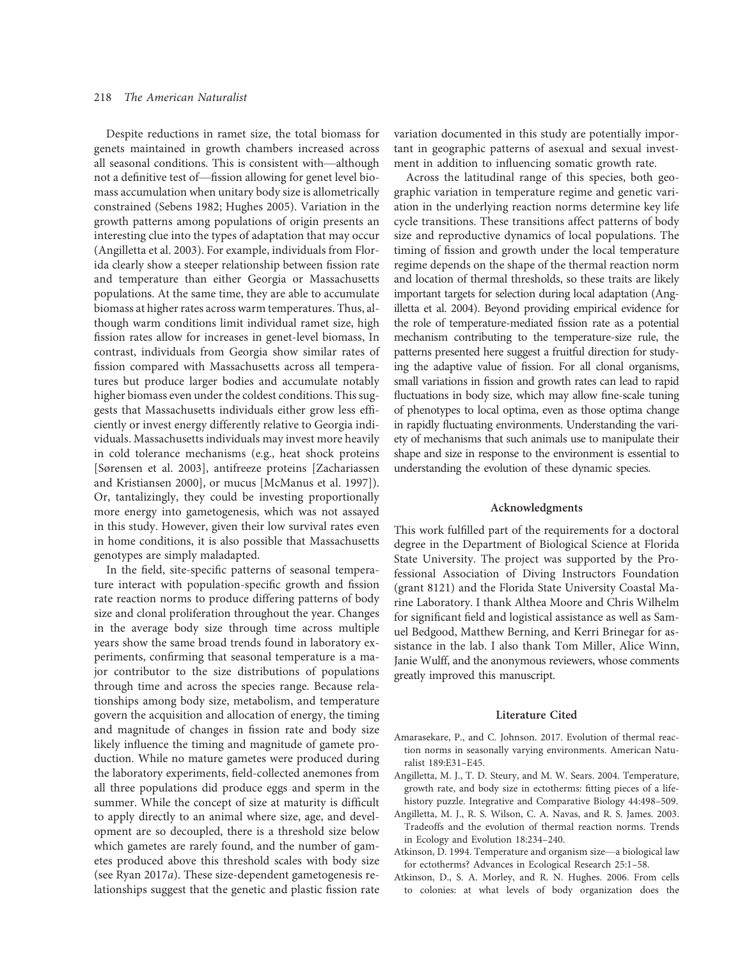## 218 The American Naturalist

Despite reductions in ramet size, the total biomass for genets maintained in growth chambers increased across all seasonal conditions. This is consistent with—although not a definitive test of—fission allowing for genet level biomass accumulation when unitary body size is allometrically constrained (Sebens 1982; Hughes 2005). Variation in the growth patterns among populations of origin presents an interesting clue into the types of adaptation that may occur (Angilletta et al. 2003). For example, individuals from Florida clearly show a steeper relationship between fission rate and temperature than either Georgia or Massachusetts populations. At the same time, they are able to accumulate biomass at higher rates across warm temperatures. Thus, although warm conditions limit individual ramet size, high fission rates allow for increases in genet-level biomass, In contrast, individuals from Georgia show similar rates of fission compared with Massachusetts across all temperatures but produce larger bodies and accumulate notably higher biomass even under the coldest conditions. This suggests that Massachusetts individuals either grow less efficiently or invest energy differently relative to Georgia individuals. Massachusetts individuals may invest more heavily in cold tolerance mechanisms (e.g., heat shock proteins [Sørensen et al. 2003], antifreeze proteins [Zachariassen and Kristiansen 2000], or mucus [McManus et al. 1997]). Or, tantalizingly, they could be investing proportionally more energy into gametogenesis, which was not assayed in this study. However, given their low survival rates even in home conditions, it is also possible that Massachusetts genotypes are simply maladapted.

In the field, site-specific patterns of seasonal temperature interact with population-specific growth and fission rate reaction norms to produce differing patterns of body size and clonal proliferation throughout the year. Changes in the average body size through time across multiple years show the same broad trends found in laboratory experiments, confirming that seasonal temperature is a major contributor to the size distributions of populations through time and across the species range. Because relationships among body size, metabolism, and temperature govern the acquisition and allocation of energy, the timing and magnitude of changes in fission rate and body size likely influence the timing and magnitude of gamete production. While no mature gametes were produced during the laboratory experiments, field-collected anemones from all three populations did produce eggs and sperm in the summer. While the concept of size at maturity is difficult to apply directly to an animal where size, age, and development are so decoupled, there is a threshold size below which gametes are rarely found, and the number of gametes produced above this threshold scales with body size (see Ryan 2017a). These size-dependent gametogenesis relationships suggest that the genetic and plastic fission rate

variation documented in this study are potentially important in geographic patterns of asexual and sexual investment in addition to influencing somatic growth rate.

Across the latitudinal range of this species, both geographic variation in temperature regime and genetic variation in the underlying reaction norms determine key life cycle transitions. These transitions affect patterns of body size and reproductive dynamics of local populations. The timing of fission and growth under the local temperature regime depends on the shape of the thermal reaction norm and location of thermal thresholds, so these traits are likely important targets for selection during local adaptation (Angilletta et al. 2004). Beyond providing empirical evidence for the role of temperature-mediated fission rate as a potential mechanism contributing to the temperature-size rule, the patterns presented here suggest a fruitful direction for studying the adaptive value of fission. For all clonal organisms, small variations in fission and growth rates can lead to rapid fluctuations in body size, which may allow fine-scale tuning of phenotypes to local optima, even as those optima change in rapidly fluctuating environments. Understanding the variety of mechanisms that such animals use to manipulate their shape and size in response to the environment is essential to understanding the evolution of these dynamic species.

#### Acknowledgments

This work fulfilled part of the requirements for a doctoral degree in the Department of Biological Science at Florida State University. The project was supported by the Professional Association of Diving Instructors Foundation (grant 8121) and the Florida State University Coastal Marine Laboratory. I thank Althea Moore and Chris Wilhelm for significant field and logistical assistance as well as Samuel Bedgood, Matthew Berning, and Kerri Brinegar for assistance in the lab. I also thank Tom Miller, Alice Winn, Janie Wulff, and the anonymous reviewers, whose comments greatly improved this manuscript.

#### Literature Cited

- Amarasekare, P., and C. Johnson. 2017. Evolution of thermal reaction norms in seasonally varying environments. American Naturalist 189:E31–E45.
- Angilletta, M. J., T. D. Steury, and M. W. Sears. 2004. Temperature, growth rate, and body size in ectotherms: fitting pieces of a lifehistory puzzle. Integrative and Comparative Biology 44:498–509.
- Angilletta, M. J., R. S. Wilson, C. A. Navas, and R. S. James. 2003. Tradeoffs and the evolution of thermal reaction norms. Trends in Ecology and Evolution 18:234–240.
- Atkinson, D. 1994. Temperature and organism size—a biological law for ectotherms? Advances in Ecological Research 25:1–58.
- Atkinson, D., S. A. Morley, and R. N. Hughes. 2006. From cells to colonies: at what levels of body organization does the